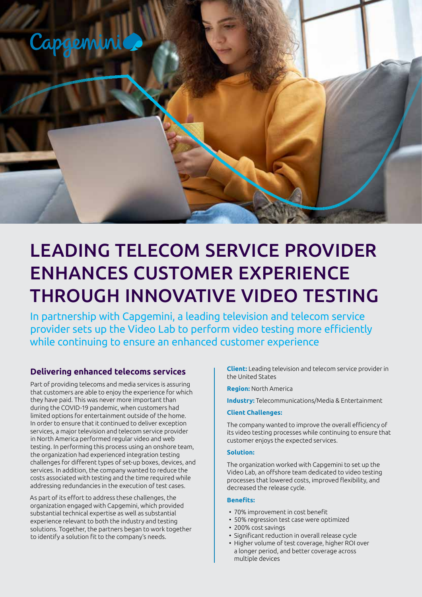

# LEADING TELECOM SERVICE PROVIDER ENHANCES CUSTOMER EXPERIENCE THROUGH INNOVATIVE VIDEO TESTING

In partnership with Capgemini, a leading television and telecom service provider sets up the Video Lab to perform video testing more efficiently while continuing to ensure an enhanced customer experience

# **Delivering enhanced telecoms services**

Part of providing telecoms and media services is assuring that customers are able to enjoy the experience for which they have paid. This was never more important than during the COVID-19 pandemic, when customers had limited options for entertainment outside of the home. In order to ensure that it continued to deliver exception services, a major television and telecom service provider in North America performed regular video and web testing. In performing this process using an onshore team, the organization had experienced integration testing challenges for different types of set-up boxes, devices, and services. In addition, the company wanted to reduce the costs associated with testing and the time required while addressing redundancies in the execution of test cases.

As part of its effort to address these challenges, the organization engaged with Capgemini, which provided substantial technical expertise as well as substantial experience relevant to both the industry and testing solutions. Together, the partners began to work together to identify a solution fit to the company's needs.

**Client:** Leading television and telecom service provider in the United States

**Region:** North America

**Industry:** Telecommunications/Media & Entertainment

#### **Client Challenges:**

The company wanted to improve the overall efficiency of its video testing processes while continuing to ensure that customer enjoys the expected services.

#### **Solution:**

The organization worked with Capgemini to set up the Video Lab, an offshore team dedicated to video testing processes that lowered costs, improved flexibility, and decreased the release cycle.

#### **Benefits:**

- 70% improvement in cost benefit
- 50% regression test case were optimized
- 200% cost savings
- Significant reduction in overall release cycle
- Higher volume of test coverage, higher ROI over a longer period, and better coverage across multiple devices